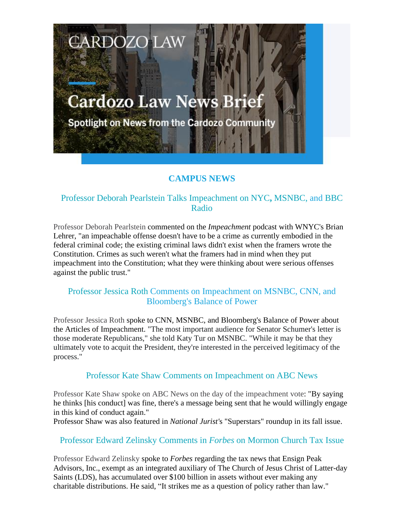# **Cardozo Law News Brief**

**CARDOZO LAW** 

Spotlight on News from the Cardozo Community

# **CAMPUS NEWS**

## Professor Deborah Pearlstein Talks Impeachment on NYC**,** MSNBC, and BBC Radio

Professor Deborah Pearlstein commented on the *Impeachment* podcast with WNYC's Brian Lehrer, "an impeachable offense doesn't have to be a crime as currently embodied in the federal criminal code; the existing criminal laws didn't exist when the framers wrote the Constitution. Crimes as such weren't what the framers had in mind when they put impeachment into the Constitution; what they were thinking about were serious offenses against the public trust."

## Professor Jessica Roth Comments on Impeachment on MSNBC, CNN, and Bloomberg's Balance of Power

Professor Jessica Roth spoke to CNN, MSNBC, and Bloomberg's Balance of Power about the Articles of Impeachment. "The most important audience for Senator Schumer's letter is those moderate Republicans," she told Katy Tur on MSNBC. "While it may be that they ultimately vote to acquit the President, they're interested in the perceived legitimacy of the process."

#### Professor Kate Shaw Comments on Impeachment on ABC News

Professor Kate Shaw spoke on ABC News on the day of the impeachment vote: "By saying he thinks [his conduct] was fine, there's a message being sent that he would willingly engage in this kind of conduct again."

Professor Shaw was also featured in *National Jurist'*s "Superstars" roundup in its fall issue.

### Professor Edward Zelinsky Comments in *Forbes* on Mormon Church Tax Issue

Professor Edward Zelinsky spoke to *Forbes* regarding the tax news that Ensign Peak Advisors, Inc., exempt as an integrated auxiliary of The Church of Jesus Christ of Latter-day Saints (LDS), has accumulated over \$100 billion in assets without ever making any charitable distributions. He said, "It strikes me as a question of policy rather than law."